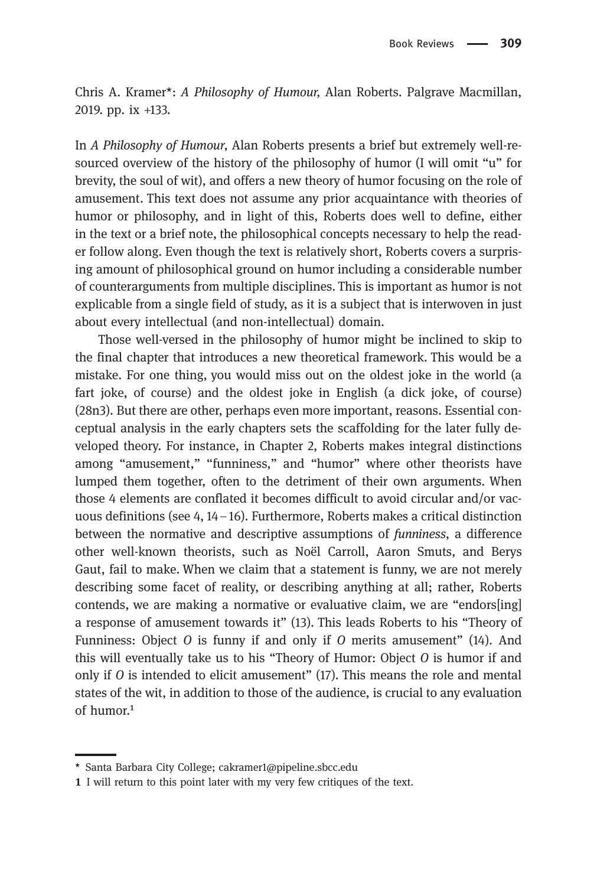Chris A. Kramer\*: A Philosophy of Humour, Alan Roberts. Palgrave Macmillan, 2019. pp. ix +133.

In A Philosophy of Humour, Alan Roberts presents a brief but extremely well-resourced overview of the history of the philosophy of humor (I will omit "u" for brevity, the soul of wit), and offers a new theory of humor focusing on the role of amusement. This text does not assume any prior acquaintance with theories of humor or philosophy, and in light of this, Roberts does well to define, either in the text or a brief note, the philosophical concepts necessary to help the reader follow along. Even though the text is relatively short, Roberts covers a surprising amount of philosophical ground on humor including a considerable number of counterarguments from multiple disciplines. This is important as humor is not explicable from a single field of study, as it is a subject that is interwoven in just about every intellectual (and non-intellectual) domain.

Those well-versed in the philosophy of humor might be inclined to skip to the final chapter that introduces a new theoretical framework. This would be a mistake. For one thing, you would miss out on the oldest joke in the world (a fart joke, of course) and the oldest joke in English (a dick joke, of course) (28n3). But there are other, perhaps even more important, reasons. Essential conceptual analysis in the early chapters sets the scaffolding for the later fully developed theory. For instance, in Chapter 2, Roberts makes integral distinctions among "amusement," "funniness," and "humor" where other theorists have lumped them together, often to the detriment of their own arguments. When those 4 elements are conflated it becomes difficult to avoid circular and/or vacuous definitions (see 4, 14–16). Furthermore, Roberts makes a critical distinction between the normative and descriptive assumptions of funniness, a difference other well-known theorists, such as Noël Carroll, Aaron Smuts, and Berys Gaut, fail to make. When we claim that a statement is funny, we are not merely describing some facet of reality, or describing anything at all; rather, Roberts contends, we are making a normative or evaluative claim, we are "endors[ing] a response of amusement towards it" (13). This leads Roberts to his "Theory of Funniness: Object O is funny if and only if O merits amusement" (14). And this will eventually take us to his "Theory of Humor: Object O is humor if and only if  $\theta$  is intended to elicit amusement" (17). This means the role and mental states of the wit, in addition to those of the audience, is crucial to any evaluation of humor. $1$ 

<sup>\*</sup> Santa Barbara City College; cakramer1@pipeline.sbcc.edu

I will return to this point later with my very few critiques of the text.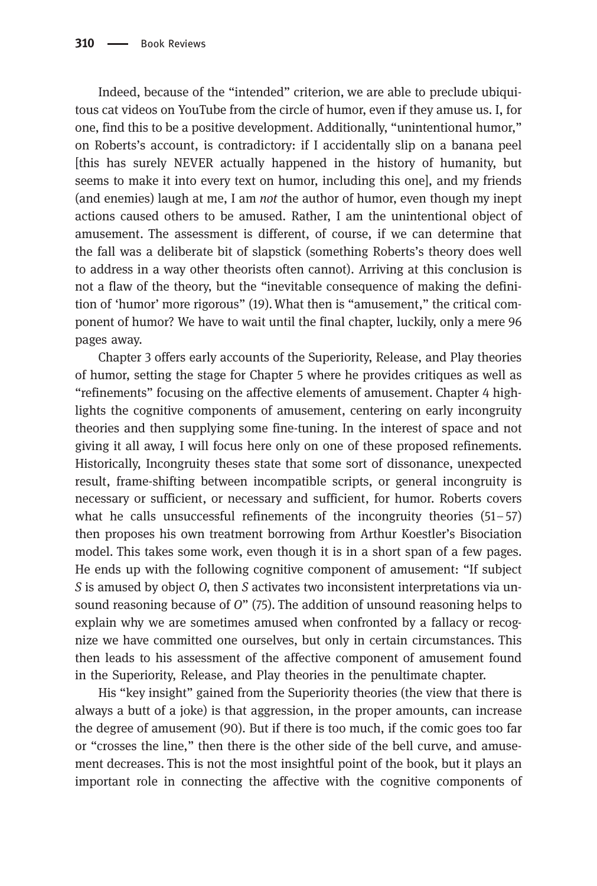Indeed, because of the "intended" criterion, we are able to preclude ubiquitous cat videos on YouTube from the circle of humor, even if they amuse us. I, for one, find this to be a positive development. Additionally, "unintentional humor," on Roberts's account, is contradictory: if I accidentally slip on a banana peel [this has surely NEVER actually happened in the history of humanity, but seems to make it into every text on humor, including this one], and my friends (and enemies) laugh at me, I am *not* the author of humor, even though my inept actions caused others to be amused. Rather, I am the unintentional object of amusement. The assessment is different, of course, if we can determine that the fall was a deliberate bit of slapstick (something Roberts's theory does well to address in a way other theorists often cannot). Arriving at this conclusion is not a flaw of the theory, but the "inevitable consequence of making the definition of 'humor' more rigorous" (19).What then is "amusement," the critical component of humor? We have to wait until the final chapter, luckily, only a mere 96 pages away.

Chapter 3 offers early accounts of the Superiority, Release, and Play theories of humor, setting the stage for Chapter 5 where he provides critiques as well as "refinements" focusing on the affective elements of amusement. Chapter 4 highlights the cognitive components of amusement, centering on early incongruity theories and then supplying some fine-tuning. In the interest of space and not giving it all away, I will focus here only on one of these proposed refinements. Historically, Incongruity theses state that some sort of dissonance, unexpected result, frame-shifting between incompatible scripts, or general incongruity is necessary or sufficient, or necessary and sufficient, for humor. Roberts covers what he calls unsuccessful refinements of the incongruity theories (51–57) then proposes his own treatment borrowing from Arthur Koestler's Bisociation model. This takes some work, even though it is in a short span of a few pages. He ends up with the following cognitive component of amusement: "If subject S is amused by object O, then S activates two inconsistent interpretations via unsound reasoning because of O" (75). The addition of unsound reasoning helps to explain why we are sometimes amused when confronted by a fallacy or recognize we have committed one ourselves, but only in certain circumstances. This then leads to his assessment of the affective component of amusement found in the Superiority, Release, and Play theories in the penultimate chapter.

His "key insight" gained from the Superiority theories (the view that there is always a butt of a joke) is that aggression, in the proper amounts, can increase the degree of amusement (90). But if there is too much, if the comic goes too far or "crosses the line," then there is the other side of the bell curve, and amusement decreases. This is not the most insightful point of the book, but it plays an important role in connecting the affective with the cognitive components of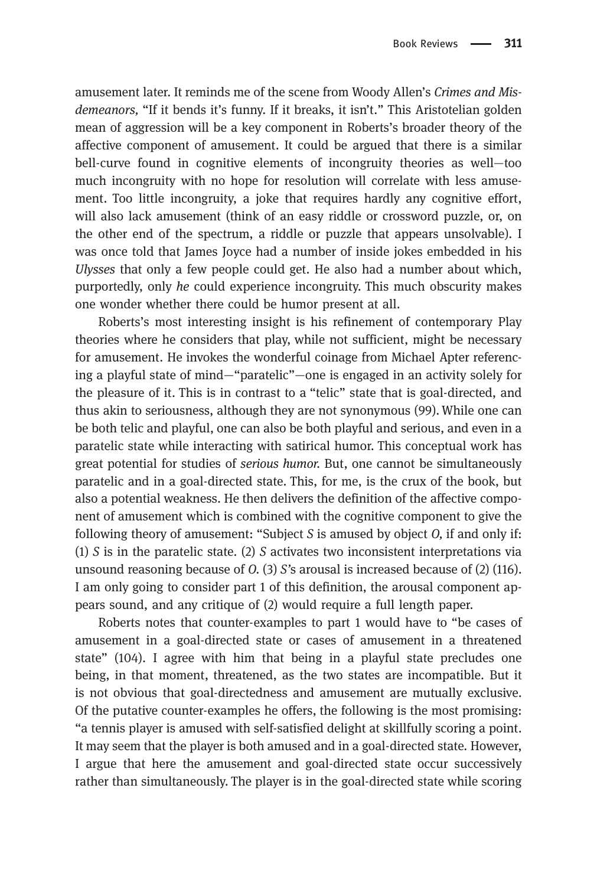amusement later. It reminds me of the scene from Woody Allen's Crimes and Misdemeanors, "If it bends it's funny. If it breaks, it isn't." This Aristotelian golden mean of aggression will be a key component in Roberts's broader theory of the affective component of amusement. It could be argued that there is a similar bell-curve found in cognitive elements of incongruity theories as well—too much incongruity with no hope for resolution will correlate with less amusement. Too little incongruity, a joke that requires hardly any cognitive effort, will also lack amusement (think of an easy riddle or crossword puzzle, or, on the other end of the spectrum, a riddle or puzzle that appears unsolvable). I was once told that James Joyce had a number of inside jokes embedded in his Ulysses that only a few people could get. He also had a number about which, purportedly, only he could experience incongruity. This much obscurity makes one wonder whether there could be humor present at all.

Roberts's most interesting insight is his refinement of contemporary Play theories where he considers that play, while not sufficient, might be necessary for amusement. He invokes the wonderful coinage from Michael Apter referencing a playful state of mind—"paratelic"—one is engaged in an activity solely for the pleasure of it. This is in contrast to a "telic" state that is goal-directed, and thus akin to seriousness, although they are not synonymous (99). While one can be both telic and playful, one can also be both playful and serious, and even in a paratelic state while interacting with satirical humor. This conceptual work has great potential for studies of serious humor. But, one cannot be simultaneously paratelic and in a goal-directed state. This, for me, is the crux of the book, but also a potential weakness. He then delivers the definition of the affective component of amusement which is combined with the cognitive component to give the following theory of amusement: "Subject  $S$  is amused by object  $O$ , if and only if: (1) S is in the paratelic state. (2) S activates two inconsistent interpretations via unsound reasoning because of  $O(13)$  S's arousal is increased because of (2) (116). I am only going to consider part 1 of this definition, the arousal component appears sound, and any critique of (2) would require a full length paper.

Roberts notes that counter-examples to part 1 would have to "be cases of amusement in a goal-directed state or cases of amusement in a threatened state" (104). I agree with him that being in a playful state precludes one being, in that moment, threatened, as the two states are incompatible. But it is not obvious that goal-directedness and amusement are mutually exclusive. Of the putative counter-examples he offers, the following is the most promising: "a tennis player is amused with self-satisfied delight at skillfully scoring a point. It may seem that the player is both amused and in a goal-directed state. However, I argue that here the amusement and goal-directed state occur successively rather than simultaneously. The player is in the goal-directed state while scoring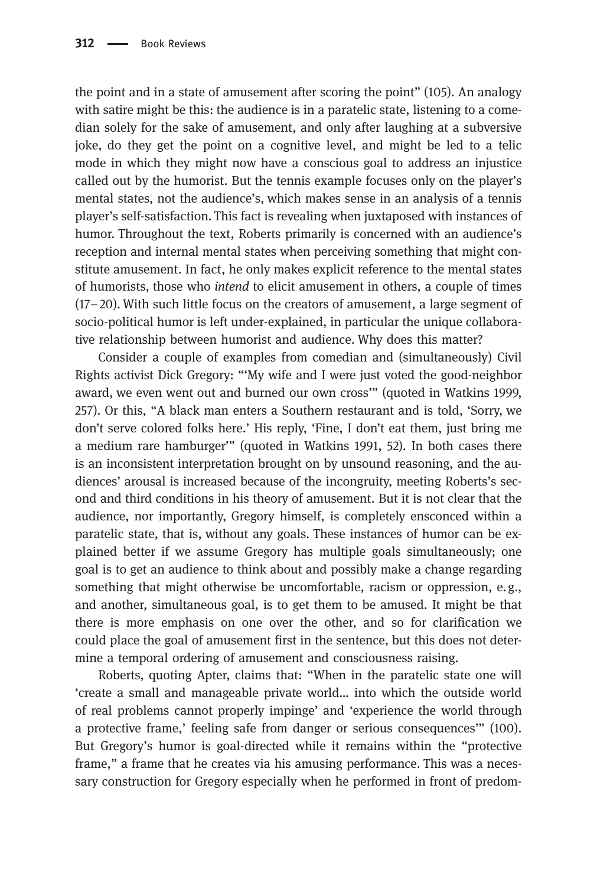the point and in a state of amusement after scoring the point" (105). An analogy with satire might be this: the audience is in a paratelic state, listening to a comedian solely for the sake of amusement, and only after laughing at a subversive joke, do they get the point on a cognitive level, and might be led to a telic mode in which they might now have a conscious goal to address an injustice called out by the humorist. But the tennis example focuses only on the player's mental states, not the audience's, which makes sense in an analysis of a tennis player's self-satisfaction. This fact is revealing when juxtaposed with instances of humor. Throughout the text, Roberts primarily is concerned with an audience's reception and internal mental states when perceiving something that might constitute amusement. In fact, he only makes explicit reference to the mental states of humorists, those who intend to elicit amusement in others, a couple of times (17–20). With such little focus on the creators of amusement, a large segment of socio-political humor is left under-explained, in particular the unique collaborative relationship between humorist and audience. Why does this matter?

Consider a couple of examples from comedian and (simultaneously) Civil Rights activist Dick Gregory: "'My wife and I were just voted the good-neighbor award, we even went out and burned our own cross'" (quoted in Watkins 1999, 257). Or this, "A black man enters a Southern restaurant and is told, 'Sorry, we don't serve colored folks here.' His reply, 'Fine, I don't eat them, just bring me a medium rare hamburger'" (quoted in Watkins 1991, 52). In both cases there is an inconsistent interpretation brought on by unsound reasoning, and the audiences' arousal is increased because of the incongruity, meeting Roberts's second and third conditions in his theory of amusement. But it is not clear that the audience, nor importantly, Gregory himself, is completely ensconced within a paratelic state, that is, without any goals. These instances of humor can be explained better if we assume Gregory has multiple goals simultaneously; one goal is to get an audience to think about and possibly make a change regarding something that might otherwise be uncomfortable, racism or oppression, e.g., and another, simultaneous goal, is to get them to be amused. It might be that there is more emphasis on one over the other, and so for clarification we could place the goal of amusement first in the sentence, but this does not determine a temporal ordering of amusement and consciousness raising.

Roberts, quoting Apter, claims that: "When in the paratelic state one will 'create a small and manageable private world… into which the outside world of real problems cannot properly impinge' and 'experience the world through a protective frame,' feeling safe from danger or serious consequences'" (100). But Gregory's humor is goal-directed while it remains within the "protective frame," a frame that he creates via his amusing performance. This was a necessary construction for Gregory especially when he performed in front of predom-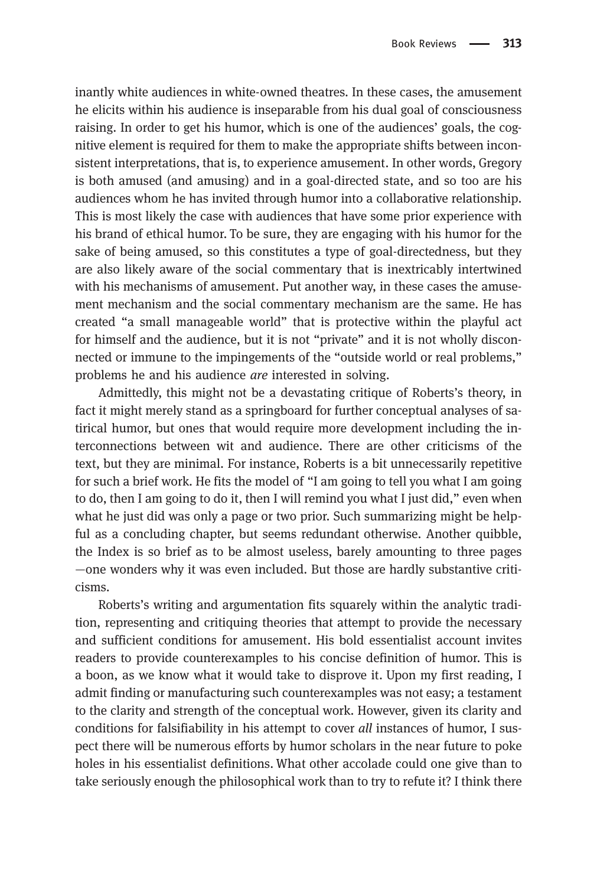inantly white audiences in white-owned theatres. In these cases, the amusement he elicits within his audience is inseparable from his dual goal of consciousness raising. In order to get his humor, which is one of the audiences' goals, the cognitive element is required for them to make the appropriate shifts between inconsistent interpretations, that is, to experience amusement. In other words, Gregory is both amused (and amusing) and in a goal-directed state, and so too are his audiences whom he has invited through humor into a collaborative relationship. This is most likely the case with audiences that have some prior experience with his brand of ethical humor. To be sure, they are engaging with his humor for the sake of being amused, so this constitutes a type of goal-directedness, but they are also likely aware of the social commentary that is inextricably intertwined with his mechanisms of amusement. Put another way, in these cases the amusement mechanism and the social commentary mechanism are the same. He has created "a small manageable world" that is protective within the playful act for himself and the audience, but it is not "private" and it is not wholly disconnected or immune to the impingements of the "outside world or real problems," problems he and his audience are interested in solving.

Admittedly, this might not be a devastating critique of Roberts's theory, in fact it might merely stand as a springboard for further conceptual analyses of satirical humor, but ones that would require more development including the interconnections between wit and audience. There are other criticisms of the text, but they are minimal. For instance, Roberts is a bit unnecessarily repetitive for such a brief work. He fits the model of "I am going to tell you what I am going to do, then I am going to do it, then I will remind you what I just did," even when what he just did was only a page or two prior. Such summarizing might be helpful as a concluding chapter, but seems redundant otherwise. Another quibble, the Index is so brief as to be almost useless, barely amounting to three pages —one wonders why it was even included. But those are hardly substantive criticisms.

Roberts's writing and argumentation fits squarely within the analytic tradition, representing and critiquing theories that attempt to provide the necessary and sufficient conditions for amusement. His bold essentialist account invites readers to provide counterexamples to his concise definition of humor. This is a boon, as we know what it would take to disprove it. Upon my first reading, I admit finding or manufacturing such counterexamples was not easy; a testament to the clarity and strength of the conceptual work. However, given its clarity and conditions for falsifiability in his attempt to cover all instances of humor, I suspect there will be numerous efforts by humor scholars in the near future to poke holes in his essentialist definitions. What other accolade could one give than to take seriously enough the philosophical work than to try to refute it? I think there